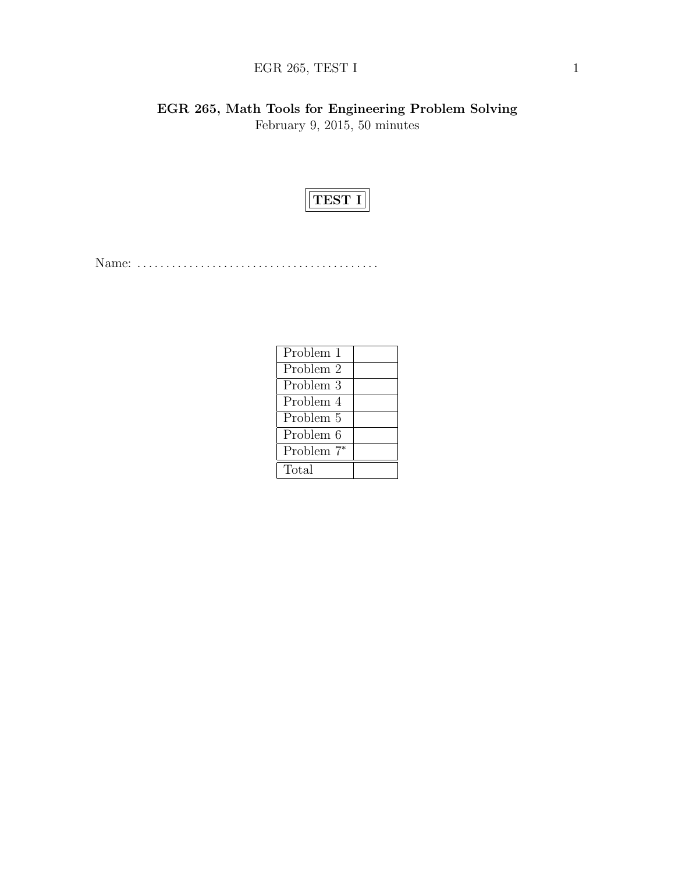# EGR 265, TEST I  $1$

EGR 265, Math Tools for Engineering Problem Solving February 9, 2015, 50 minutes



Name: . . . . . . . . . . . . . . . . . . . . . . . . . . . . . . . . . . . . . . . . . .

| Problem 1  |  |
|------------|--|
| Problem 2  |  |
| Problem 3  |  |
| Problem 4  |  |
| Problem 5  |  |
| Problem 6  |  |
| Problem 7* |  |
| Total      |  |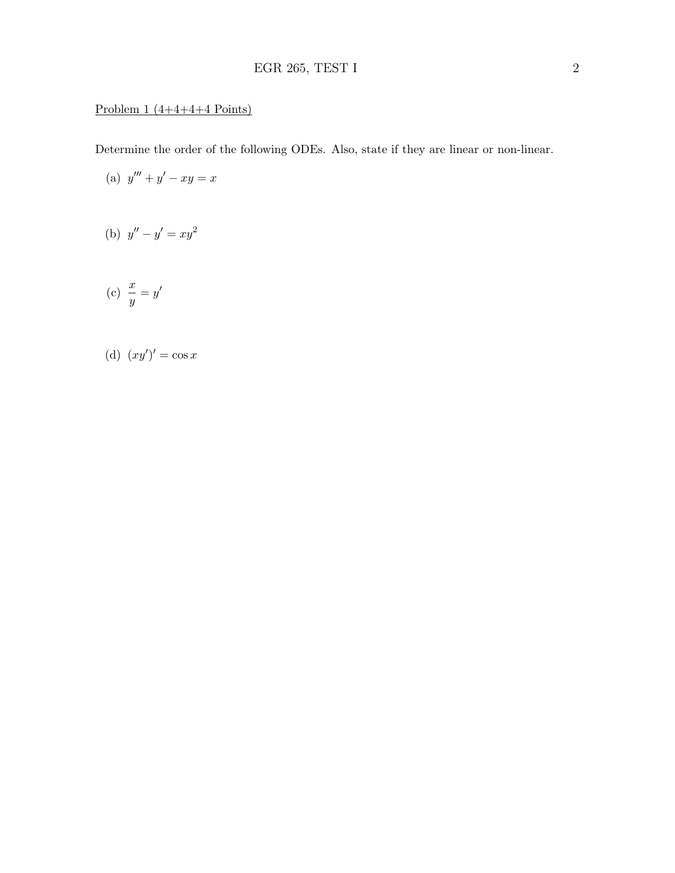## Problem  $1(4+4+4+4$  Points)

Determine the order of the following ODEs. Also, state if they are linear or non-linear.

(a) 
$$
y''' + y' - xy = x
$$

(b) 
$$
y'' - y' = xy^2
$$

$$
(c) \frac{x}{y} = y'
$$

(d) 
$$
(xy')' = \cos x
$$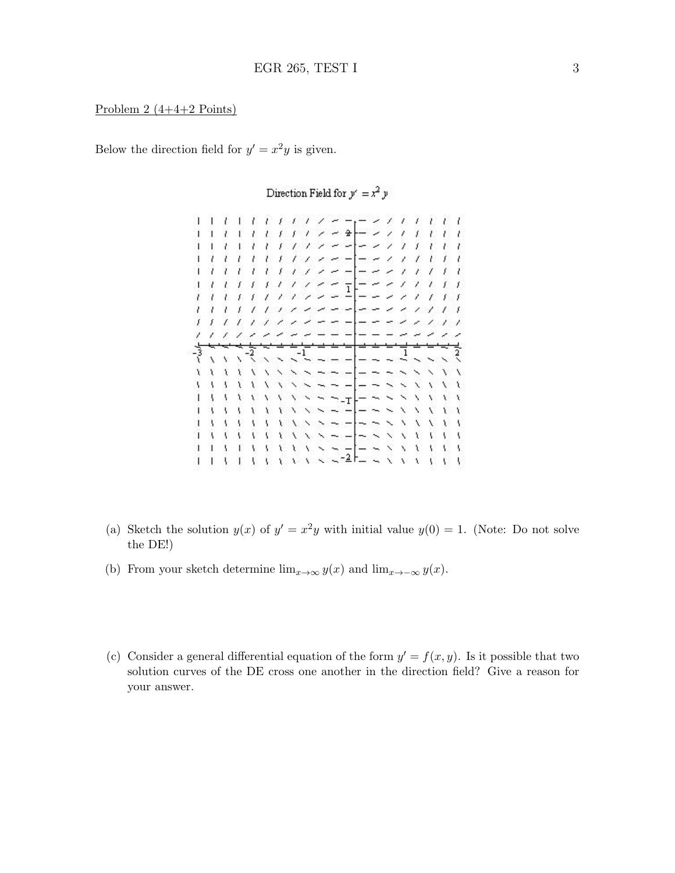Problem 2 (4+4+2 Points)

Below the direction field for  $y' = x^2y$  is given.

1 1 1 1 1 1 1 1 1 1 <del>- 1 -</del> - 1 1 1 1 1 1  $-2$  $\prime$   $\prime$  $1<sub>1</sub>$  $T$   $T$   $T$  $\mathcal{L}$  $11$ £  $E - I$ ات ب  $\overline{1}$ ï  $\overline{\phantom{a}}$  $-21$  $\lambda$ f.  $11122 11111$ ーースプチモモ フラフティブランシー  $-$  - - 1 1 1 €  $\frac{1}{1}$ ======  $11111$ Y.  $\mathcal{P}$  $\mathbf{f}$  $1111$  $111$ 그  $\ddot{x}$  $\ddot{\phantom{0}}$  $\sim$   $-$ N.  $\bar{\chi}$  $\chi$  $\mathbf{v}$  $\ddotmark$  $\sim$   $\sim$  $\sim$   $\sim$   $\sim$ Y. A. X r  $\sim$   $\sim$   $-$ Ý.  $\mathbf{t}$ X  $\lambda$  $\overline{\phantom{0}}$  $\overline{\phantom{0}}$  $\frac{1}{1}$   $\frac{1}{1}$   $\frac{1}{1}$   $\frac{1}{1}$   $\frac{1}{1}$   $\frac{1}{1}$   $\frac{1}{1}$   $\frac{1}{1}$   $\frac{1}{1}$   $\frac{1}{1}$   $\frac{1}{1}$   $\frac{1}{1}$   $\frac{1}{1}$   $\frac{1}{1}$   $\frac{1}{1}$   $\frac{1}{1}$   $\frac{1}{1}$   $\frac{1}{1}$   $\frac{1}{1}$   $\frac{1}{1}$   $\frac{1}{1}$   $\frac{1}{1}$   $\mathbf{V}$ 1 1 1 1 1 1 1 1 1 x x x x x x x x x X  $\mathcal{N}$ 

Direction Field for  $y' = x^2 y$ 

- (a) Sketch the solution  $y(x)$  of  $y' = x^2y$  with initial value  $y(0) = 1$ . (Note: Do not solve the DE!)
- (b) From your sketch determine  $\lim_{x\to\infty} y(x)$  and  $\lim_{x\to-\infty} y(x)$ .
- (c) Consider a general differential equation of the form  $y' = f(x, y)$ . Is it possible that two solution curves of the DE cross one another in the direction field? Give a reason for your answer.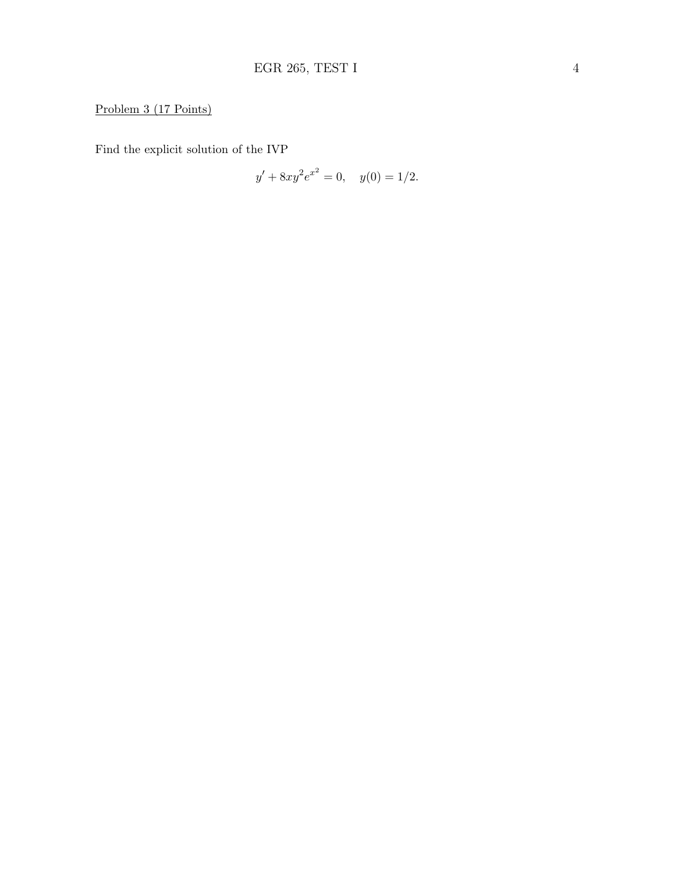# Problem 3 (17 Points)

Find the explicit solution of the IVP

$$
y' + 8xy^2 e^{x^2} = 0, \quad y(0) = 1/2.
$$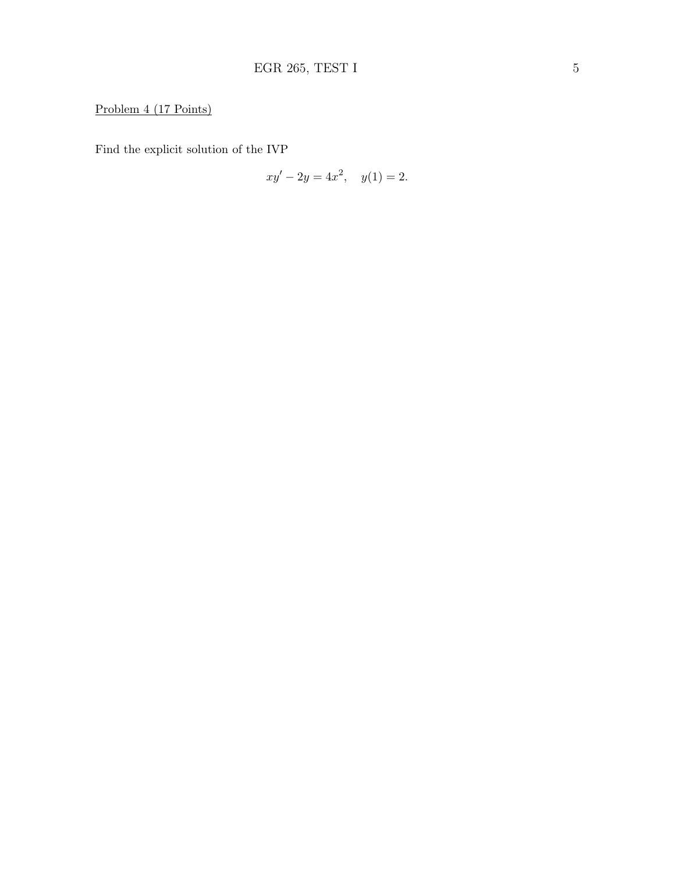# Problem 4 (17 Points)

Find the explicit solution of the IVP

$$
xy' - 2y = 4x^2, \quad y(1) = 2.
$$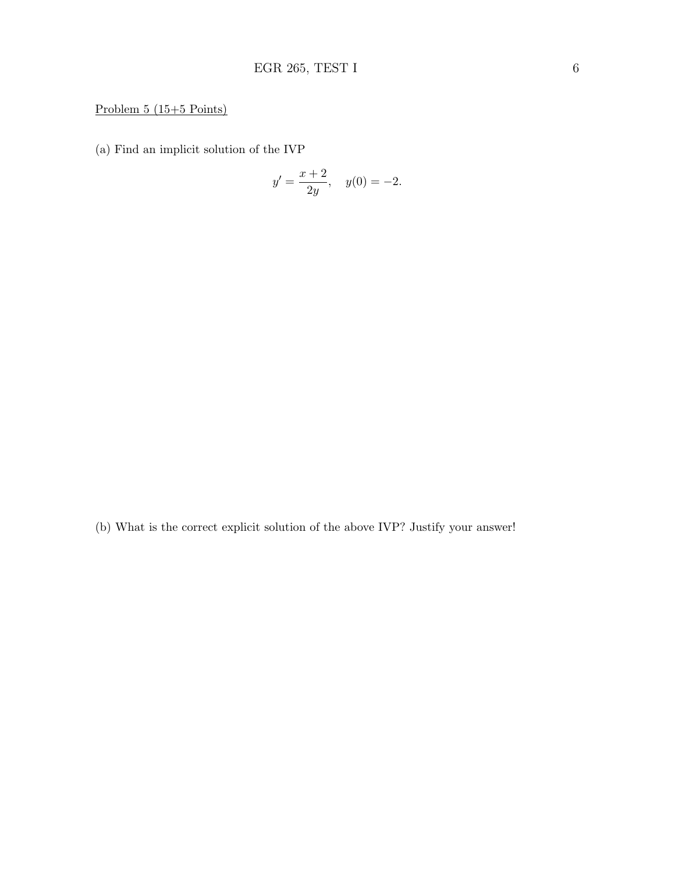## Problem 5 (15+5 Points)

(a) Find an implicit solution of the IVP

$$
y' = \frac{x+2}{2y}
$$
,  $y(0) = -2$ .

(b) What is the correct explicit solution of the above IVP? Justify your answer!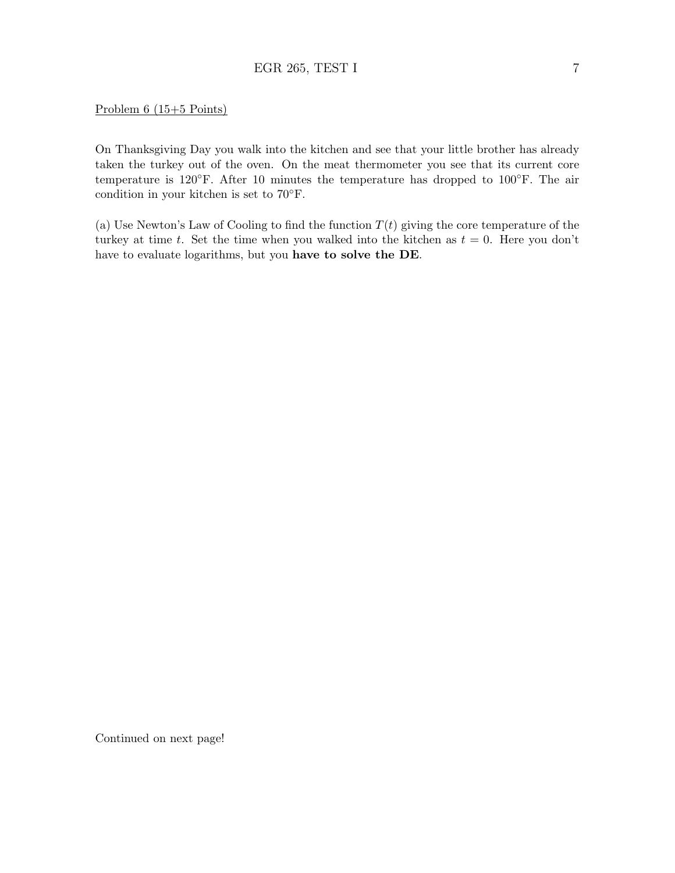### EGR 265, TEST I 7

#### Problem 6 (15+5 Points)

On Thanksgiving Day you walk into the kitchen and see that your little brother has already taken the turkey out of the oven. On the meat thermometer you see that its current core temperature is 120◦F. After 10 minutes the temperature has dropped to 100◦F. The air condition in your kitchen is set to 70◦F.

(a) Use Newton's Law of Cooling to find the function  $T(t)$  giving the core temperature of the turkey at time t. Set the time when you walked into the kitchen as  $t = 0$ . Here you don't have to evaluate logarithms, but you have to solve the DE.

Continued on next page!